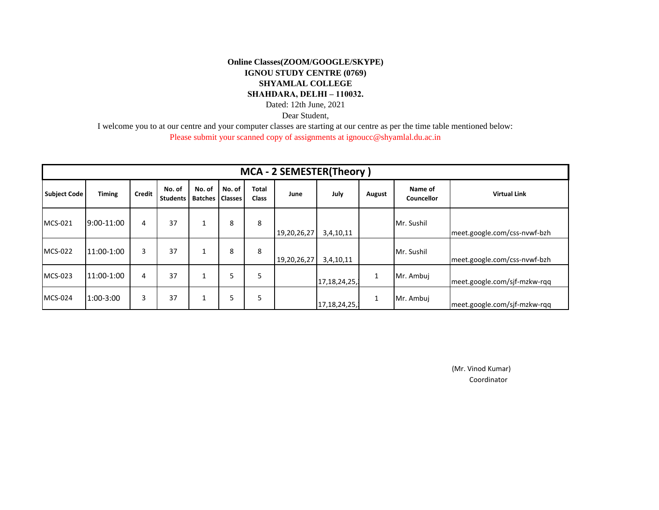## **Online Classes(ZOOM/GOOGLE/SKYPE) IGNOU STUDY CENTRE (0769) SHYAMLAL COLLEGE SHAHDARA, DELHI – 110032.**

Dated: 12th June, 2021

Dear Student,

I welcome you to at our centre and your computer classes are starting at our centre as per the time table mentioned below:

Please submit your scanned copy of assignments at ignoucc@shyamlal.du.ac.in

| <b>MCA - 2 SEMESTER(Theory)</b> |               |        |                           |                                    |        |                       |             |                 |        |                              |                              |  |
|---------------------------------|---------------|--------|---------------------------|------------------------------------|--------|-----------------------|-------------|-----------------|--------|------------------------------|------------------------------|--|
| <b>Subject Code</b>             | <b>Timing</b> | Credit | No. of<br><b>Students</b> | No. of<br><b>Batches   Classes</b> | No. of | Total<br><b>Class</b> | June        | July            | August | Name of<br><b>Councellor</b> | <b>Virtual Link</b>          |  |
| MCS-021                         | 9:00-11:00    | 4      | 37                        |                                    | 8      | 8                     | 19,20,26,27 | 3,4,10,11       |        | Mr. Sushil                   | meet.google.com/css-nvwf-bzh |  |
| <b>MCS-022</b>                  | 11:00-1:00    | 3      | 37                        |                                    | 8      | 8                     | 19,20,26,27 | 3,4,10,11       |        | Mr. Sushil                   | meet.google.com/css-nvwf-bzh |  |
| MCS-023                         | 11:00-1:00    | 4      | 37                        |                                    |        | 5                     |             | 17,18,24,25,1   | 1      | Mr. Ambuj                    | meet.google.com/sjf-mzkw-rqq |  |
| <b>MCS-024</b>                  | $1:00-3:00$   | 3      | 37                        | $\overline{\phantom{a}}$           | 5      | 5                     |             | 17, 18, 24, 25, | 1      | Mr. Ambuj                    | meet.google.com/sjf-mzkw-rqq |  |

 Coordinator (Mr. Vinod Kumar)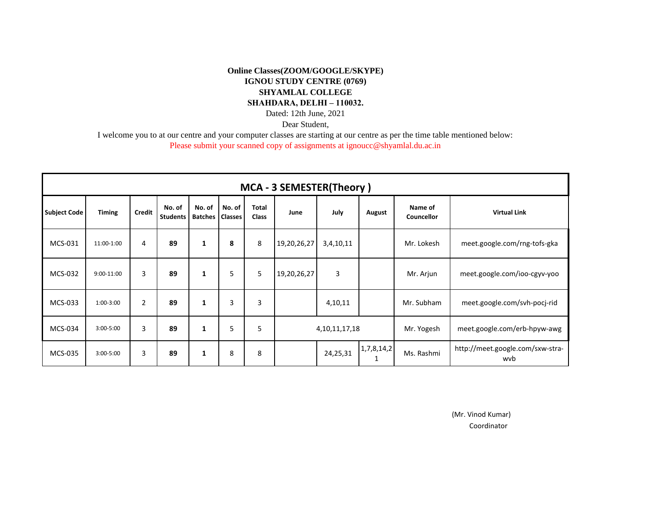## **Online Classes(ZOOM/GOOGLE/SKYPE) IGNOU STUDY CENTRE (0769) SHYAMLAL COLLEGE SHAHDARA, DELHI – 110032.** Dated: 12th June, 2021

Dear Student,

I welcome you to at our centre and your computer classes are starting at our centre as per the time table mentioned below:

Please submit your scanned copy of assignments at ignoucc@shyamlal.du.ac.in

| MCA - 3 SEMESTER(Theory) |               |                |                    |                                    |        |                       |                   |           |                 |                              |                                         |
|--------------------------|---------------|----------------|--------------------|------------------------------------|--------|-----------------------|-------------------|-----------|-----------------|------------------------------|-----------------------------------------|
| <b>Subject Code</b>      | <b>Timing</b> | <b>Credit</b>  | No. of<br>Students | No. of<br><b>Batches   Classes</b> | No. of | <b>Total</b><br>Class | June              | July      | August          | Name of<br>Councellor        | <b>Virtual Link</b>                     |
| MCS-031                  | 11:00-1:00    | 4              | 89                 | 1                                  | 8      | 8                     | 19,20,26,27       | 3,4,10,11 |                 | Mr. Lokesh                   | meet.google.com/rng-tofs-gka            |
| MCS-032                  | 9:00-11:00    | 3              | 89                 | 1                                  | 5      | 5                     | 19,20,26,27       | 3         |                 | Mr. Arjun                    | meet.google.com/ioo-cgyv-yoo            |
| MCS-033                  | $1:00-3:00$   | $\overline{2}$ | 89                 | 1                                  | 3      | 3                     |                   | 4,10,11   |                 | Mr. Subham                   | meet.google.com/svh-pocj-rid            |
| MCS-034                  | $3:00 - 5:00$ | $\overline{3}$ | 89                 | 1                                  | 5      | 5                     | 4, 10, 11, 17, 18 |           | Mr. Yogesh      | meet.google.com/erb-hpyw-awg |                                         |
| MCS-035                  | $3:00 - 5:00$ | 3              | 89                 | 1                                  | 8      | 8                     |                   | 24,25,31  | 1,7,8,14,2<br>1 | Ms. Rashmi                   | http://meet.google.com/sxw-stra-<br>wvb |

(Mr. Vinod Kumar)

Coordinator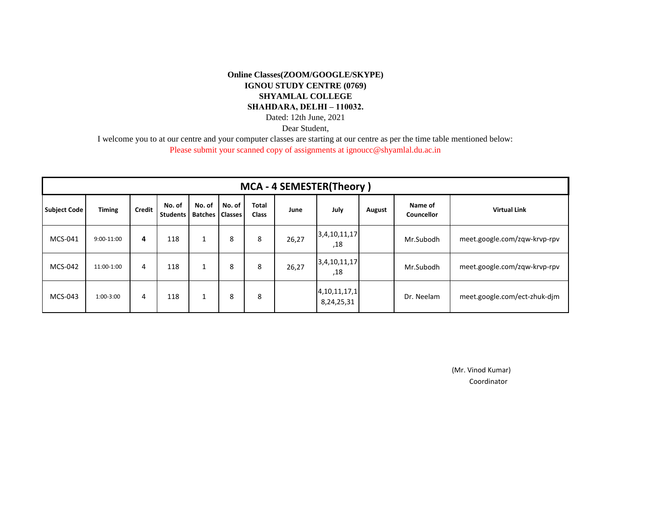## **Online Classes(ZOOM/GOOGLE/SKYPE) IGNOU STUDY CENTRE (0769) SHYAMLAL COLLEGE SHAHDARA, DELHI – 110032.** Dated: 12th June, 2021

Dear Student,

I welcome you to at our centre and your computer classes are starting at our centre as per the time table mentioned below:

Please submit your scanned copy of assignments at ignoucc@shyamlal.du.ac.in

| <b>MCA - 4 SEMESTER(Theory)</b> |               |               |                           |                          |                          |                       |       |                                |        |                       |                              |
|---------------------------------|---------------|---------------|---------------------------|--------------------------|--------------------------|-----------------------|-------|--------------------------------|--------|-----------------------|------------------------------|
| <b>Subject Code</b>             | <b>Timing</b> | <b>Credit</b> | No. of<br><b>Students</b> | No. of<br><b>Batches</b> | No. of<br><b>Classes</b> | Total<br><b>Class</b> | June  | July                           | August | Name of<br>Councellor | <b>Virtual Link</b>          |
| MCS-041                         | $9:00-11:00$  | 4             | 118                       | 1                        | 8                        | 8                     | 26,27 | 3,4,10,11,17<br>,18            |        | Mr.Subodh             | meet.google.com/zqw-krvp-rpv |
| MCS-042                         | 11:00-1:00    | 4             | 118                       |                          | 8                        | 8                     | 26,27 | 3,4,10,11,17<br>,18            |        | Mr.Subodh             | meet.google.com/zqw-krvp-rpv |
| MCS-043                         | $1:00-3:00$   | 4             | 118                       | 1                        | 8                        | 8                     |       | 4, 10, 11, 17, 1<br>8,24,25,31 |        | Dr. Neelam            | meet.google.com/ect-zhuk-dim |

 Coordinator (Mr. Vinod Kumar)